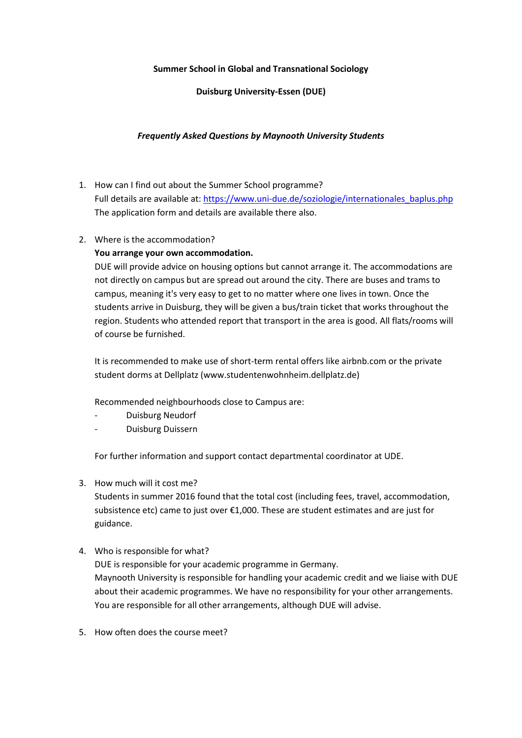## **Summer School in Global and Transnational Sociology**

## **Duisburg University-Essen (DUE)**

## *Frequently Asked Questions by Maynooth University Students*

- 1. How can I find out about the Summer School programme? Full details are available at: [https://www.uni-due.de/soziologie/internationales\\_baplus.php](https://www.uni-due.de/soziologie/internationales_baplus.php) The application form and details are available there also.
- 2. Where is the accommodation?

## **You arrange your own accommodation.**

DUE will provide advice on housing options but cannot arrange it. The accommodations are not directly on campus but are spread out around the city. There are buses and trams to campus, meaning it's very easy to get to no matter where one lives in town. Once the students arrive in Duisburg, they will be given a bus/train ticket that works throughout the region. Students who attended report that transport in the area is good. All flats/rooms will of course be furnished.

It is recommended to make use of short-term rental offers like airbnb.com or the private student dorms at Dellplatz (www.studentenwohnheim.dellplatz.de)

Recommended neighbourhoods close to Campus are:

- Duisburg Neudorf
- Duisburg Duissern

For further information and support contact departmental coordinator at UDE.

3. How much will it cost me?

Students in summer 2016 found that the total cost (including fees, travel, accommodation, subsistence etc) came to just over €1,000. These are student estimates and are just for guidance.

4. Who is responsible for what?

DUE is responsible for your academic programme in Germany. Maynooth University is responsible for handling your academic credit and we liaise with DUE about their academic programmes. We have no responsibility for your other arrangements. You are responsible for all other arrangements, although DUE will advise.

5. How often does the course meet?